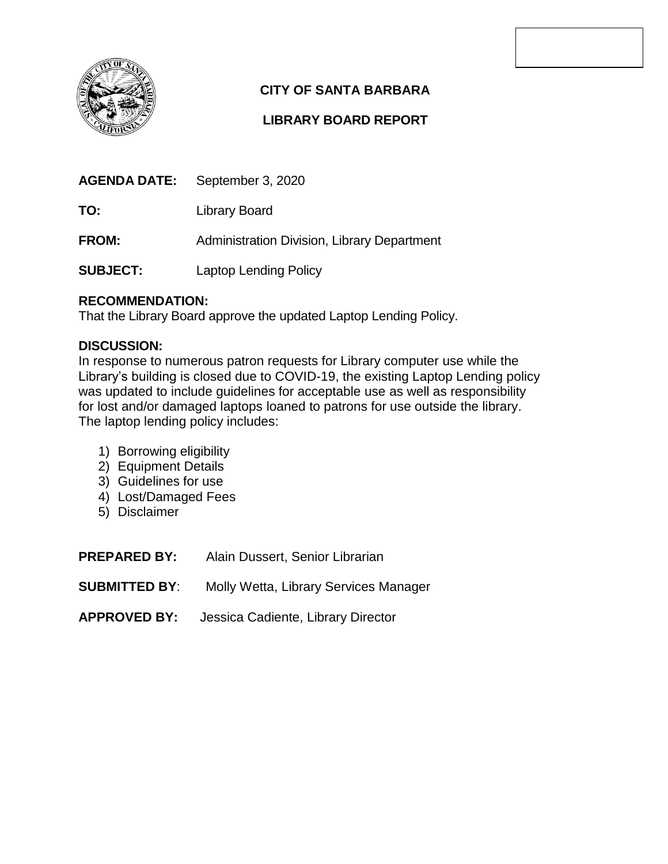

# **CITY OF SANTA BARBARA**

## **LIBRARY BOARD REPORT**

**TO:** Library Board

**FROM:** Administration Division, Library Department

**SUBJECT:** Laptop Lending Policy

### **RECOMMENDATION:**

That the Library Board approve the updated Laptop Lending Policy.

### **DISCUSSION:**

In response to numerous patron requests for Library computer use while the Library's building is closed due to COVID-19, the existing Laptop Lending policy was updated to include guidelines for acceptable use as well as responsibility for lost and/or damaged laptops loaned to patrons for use outside the library. The laptop lending policy includes:

- 1) Borrowing eligibility
- 2) Equipment Details
- 3) Guidelines for use
- 4) Lost/Damaged Fees
- 5) Disclaimer

| <b>PREPARED BY:</b>  | Alain Dussert, Senior Librarian       |
|----------------------|---------------------------------------|
| <b>SUBMITTED BY:</b> | Molly Wetta, Library Services Manager |
| <b>APPROVED BY:</b>  | Jessica Cadiente, Library Director    |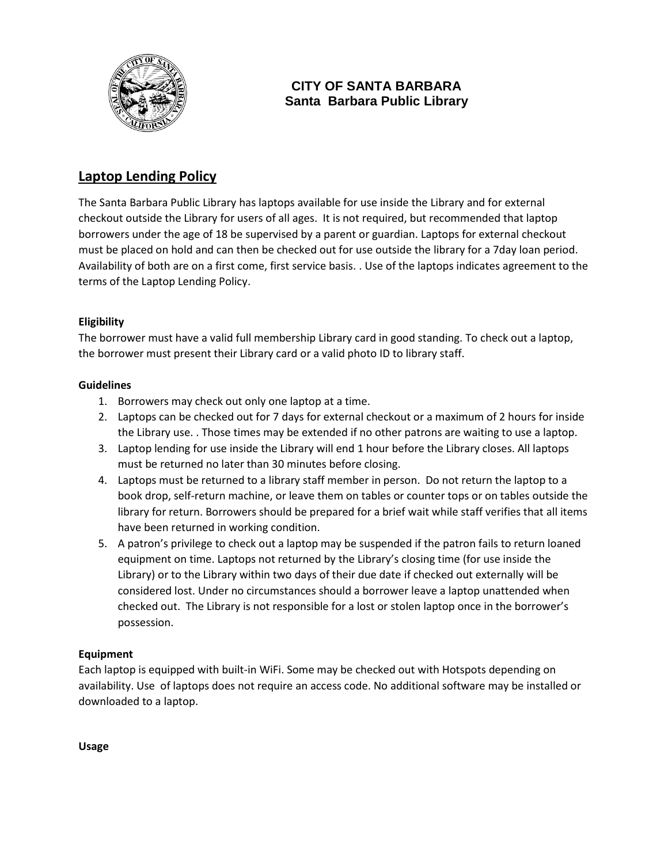

## **CITY OF SANTA BARBARA Santa Barbara Public Library**

# **Laptop Lending Policy**

The Santa Barbara Public Library has laptops available for use inside the Library and for external checkout outside the Library for users of all ages. It is not required, but recommended that laptop borrowers under the age of 18 be supervised by a parent or guardian. Laptops for external checkout must be placed on hold and can then be checked out for use outside the library for a 7day loan period. Availability of both are on a first come, first service basis. . Use of the laptops indicates agreement to the terms of the Laptop Lending Policy.

### **Eligibility**

The borrower must have a valid full membership Library card in good standing. To check out a laptop, the borrower must present their Library card or a valid photo ID to library staff.

### **Guidelines**

- 1. Borrowers may check out only one laptop at a time.
- 2. Laptops can be checked out for 7 days for external checkout or a maximum of 2 hours for inside the Library use. . Those times may be extended if no other patrons are waiting to use a laptop.
- 3. Laptop lending for use inside the Library will end 1 hour before the Library closes. All laptops must be returned no later than 30 minutes before closing.
- 4. Laptops must be returned to a library staff member in person. Do not return the laptop to a book drop, self-return machine, or leave them on tables or counter tops or on tables outside the library for return. Borrowers should be prepared for a brief wait while staff verifies that all items have been returned in working condition.
- 5. A patron's privilege to check out a laptop may be suspended if the patron fails to return loaned equipment on time. Laptops not returned by the Library's closing time (for use inside the Library) or to the Library within two days of their due date if checked out externally will be considered lost. Under no circumstances should a borrower leave a laptop unattended when checked out. The Library is not responsible for a lost or stolen laptop once in the borrower's possession.

### **Equipment**

Each laptop is equipped with built-in WiFi. Some may be checked out with Hotspots depending on availability. Use of laptops does not require an access code. No additional software may be installed or downloaded to a laptop.

**Usage**